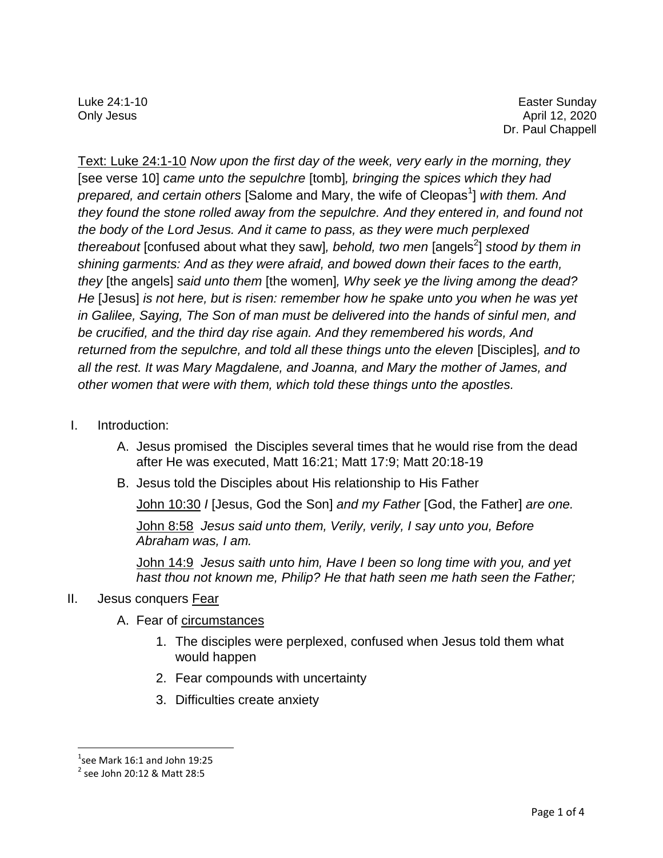Luke 24:1-10 Easter Sunday Only Jesus April 12, 2020 Dr. Paul Chappell

Text: Luke 24:1-10 *Now upon the first day of the week, very early in the morning, they*  [see verse 10] *came unto the sepulchre* [tomb]*, bringing the spices which they had*  prepared, and certain others [Salome and Mary, the wife of Cleopas<sup>1</sup>] with them. And *they found the stone rolled away from the sepulchre. And they entered in, and found not the body of the Lord Jesus. And it came to pass, as they were much perplexed thereabout* [confused about what they saw], *behold, two men* [angels<sup>2</sup>] *stood by them in shining garments: And as they were afraid, and bowed down their faces to the earth, they* [the angels] *said unto them* [the women]*, Why seek ye the living among the dead? He* [Jesus] *is not here, but is risen: remember how he spake unto you when he was yet in Galilee, Saying, The Son of man must be delivered into the hands of sinful men, and be crucified, and the third day rise again. And they remembered his words, And returned from the sepulchre, and told all these things unto the eleven* [Disciples]*, and to all the rest. It was Mary Magdalene, and Joanna, and Mary the mother of James, and other women that were with them, which told these things unto the apostles.*

- I. Introduction:
	- A. Jesus promised the Disciples several times that he would rise from the dead after He was executed, Matt 16:21; Matt 17:9; Matt 20:18-19
	- B. Jesus told the Disciples about His relationship to His Father

John 10:30 *I* [Jesus, God the Son] *and my Father* [God, the Father] *are one.* 

John 8:58 *Jesus said unto them, Verily, verily, I say unto you, Before Abraham was, I am.* 

John 14:9 *Jesus saith unto him, Have I been so long time with you, and yet hast thou not known me, Philip? He that hath seen me hath seen the Father;* 

## II. Jesus conquers Fear

- A. Fear of circumstances
	- 1. The disciples were perplexed, confused when Jesus told them what would happen
	- 2. Fear compounds with uncertainty
	- 3. Difficulties create anxiety

l

 $1$ see Mark 16:1 and John 19:25

<sup>2</sup> see John 20:12 & Matt 28:5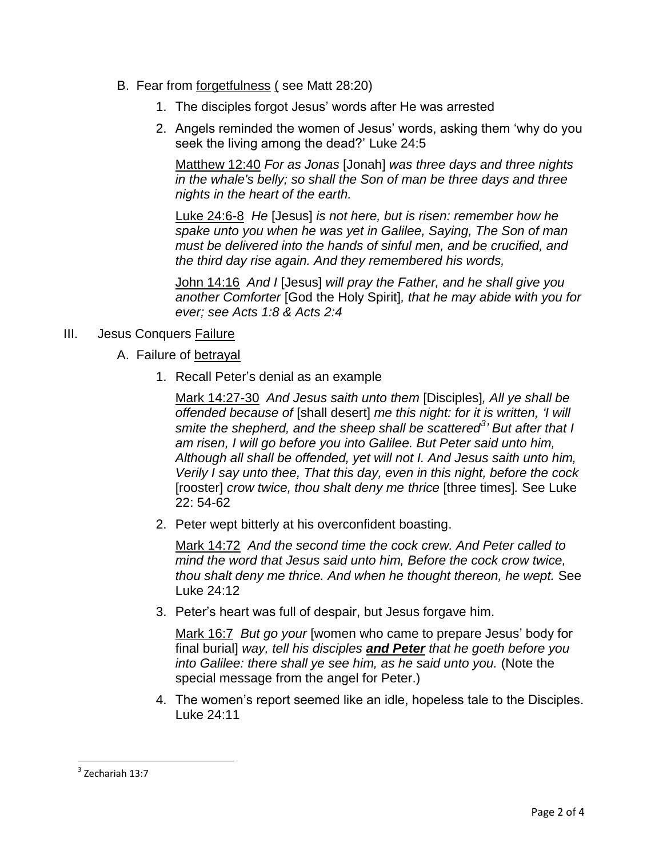- B. Fear from forgetfulness ( see Matt 28:20)
	- 1. The disciples forgot Jesus' words after He was arrested
	- 2. Angels reminded the women of Jesus' words, asking them 'why do you seek the living among the dead?' Luke 24:5

Matthew 12:40 *For as Jonas* [Jonah] *was three days and three nights in the whale's belly; so shall the Son of man be three days and three nights in the heart of the earth.*

Luke 24:6-8 *He* [Jesus] *is not here, but is risen: remember how he spake unto you when he was yet in Galilee, Saying, The Son of man must be delivered into the hands of sinful men, and be crucified, and the third day rise again. And they remembered his words,*

John 14:16 *And I* [Jesus] *will pray the Father, and he shall give you another Comforter* [God the Holy Spirit]*, that he may abide with you for ever; see Acts 1:8 & Acts 2:4*

- III. Jesus Conquers Failure
	- A. Failure of betrayal
		- 1. Recall Peter's denial as an example

Mark 14:27-30 *And Jesus saith unto them* [Disciples]*, All ye shall be offended because of* [shall desert] *me this night: for it is written, 'I will smite the shepherd, and the sheep shall be scattered<sup>3</sup> ' But after that I am risen, I will go before you into Galilee. But Peter said unto him, Although all shall be offended, yet will not I. And Jesus saith unto him, Verily I say unto thee, That this day, even in this night, before the cock* [rooster] *crow twice, thou shalt deny me thrice* [three times]*.* See Luke 22: 54-62

2. Peter wept bitterly at his overconfident boasting.

Mark 14:72 *And the second time the cock crew. And Peter called to mind the word that Jesus said unto him, Before the cock crow twice, thou shalt deny me thrice. And when he thought thereon, he wept.* See Luke 24:12

3. Peter's heart was full of despair, but Jesus forgave him.

Mark 16:7 *But go your* [women who came to prepare Jesus' body for final burial] *way, tell his disciples and Peter that he goeth before you into Galilee: there shall ye see him, as he said unto you.* (Note the special message from the angel for Peter.)

4. The women's report seemed like an idle, hopeless tale to the Disciples. Luke 24:11

 $\overline{\phantom{a}}$ 

<sup>3</sup> Zechariah 13:7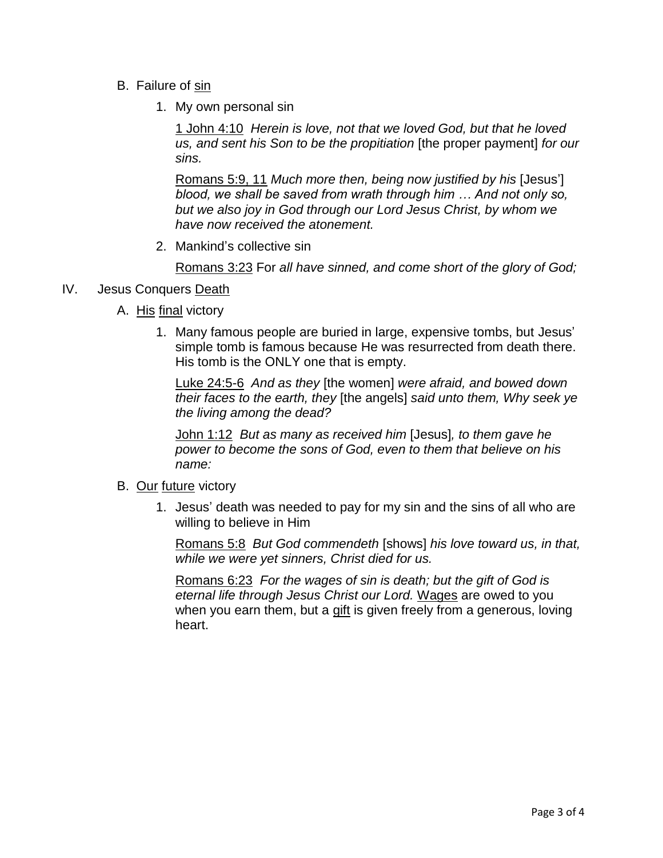- B. Failure of sin
	- 1. My own personal sin

1 John 4:10 *Herein is love, not that we loved God, but that he loved us, and sent his Son to be the propitiation* [the proper payment] *for our sins.*

Romans 5:9, 11 *Much more then, being now justified by his* [Jesus'] *blood, we shall be saved from wrath through him … And not only so, but we also joy in God through our Lord Jesus Christ, by whom we have now received the atonement.*

2. Mankind's collective sin

Romans 3:23 For *all have sinned, and come short of the glory of God;*

## IV. Jesus Conquers Death

- A. His final victory
	- 1. Many famous people are buried in large, expensive tombs, but Jesus' simple tomb is famous because He was resurrected from death there. His tomb is the ONLY one that is empty.

Luke 24:5-6 *And as they* [the women] *were afraid, and bowed down their faces to the earth, they* [the angels] *said unto them, Why seek ye the living among the dead?*

John 1:12 *But as many as received him* [Jesus]*, to them gave he power to become the sons of God, even to them that believe on his name:*

- B. Our future victory
	- 1. Jesus' death was needed to pay for my sin and the sins of all who are willing to believe in Him

Romans 5:8 *But God commendeth* [shows] *his love toward us, in that, while we were yet sinners, Christ died for us.*

Romans 6:23 *For the wages of sin is death; but the gift of God is eternal life through Jesus Christ our Lord.* Wages are owed to you when you earn them, but a gift is given freely from a generous, loving heart.